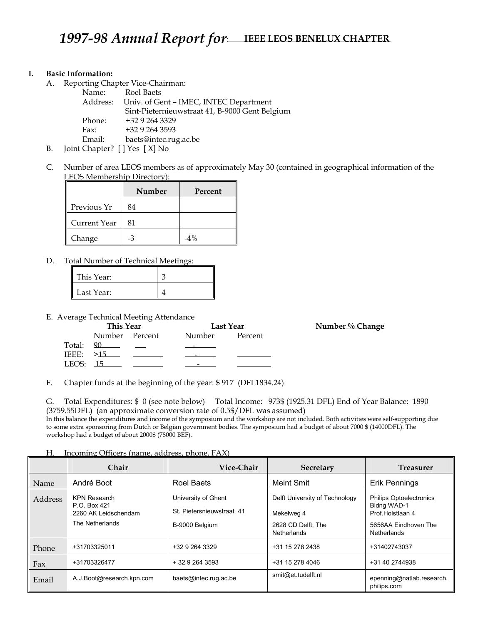### **I. Basic Information:**

A. Reporting Chapter Vice-Chairman:

|  | Name:  | Roel Baets                                      |
|--|--------|-------------------------------------------------|
|  |        | Address: Univ. of Gent - IMEC, INTEC Department |
|  |        | Sint-Pieternieuwstraat 41, B-9000 Gent Belgium  |
|  | Phone: | +32 9 264 3329                                  |
|  | Fax:   | +32 9 264 3593                                  |
|  | Email: | baets@intec.rug.ac.be                           |
|  |        |                                                 |

- B. Joint Chapter? [ ] Yes [ X] No
- C. Number of area LEOS members as of approximately May 30 (contained in geographical information of the LEOS Membership Directory):

|              | Number | Percent |
|--------------|--------|---------|
| Previous Yr  | 84     |         |
| Current Year | 81     |         |
| Change       | -3     | $-4%$   |

D. Total Number of Technical Meetings:

| This Year: |  |
|------------|--|
| Last Year: |  |

E. Average Technical Meeting Attendance

| ັ         | This Year      |  | Last Year                                                                                                                                                                                                                            |                | Number % Change |  |
|-----------|----------------|--|--------------------------------------------------------------------------------------------------------------------------------------------------------------------------------------------------------------------------------------|----------------|-----------------|--|
|           | Number Percent |  | Number                                                                                                                                                                                                                               | <b>Percent</b> |                 |  |
|           | Total: 90      |  | <u> De Carlos de Carlos de Carlos de Carlos de Carlos de Carlos de Carlos de Carlos de Carlos de Carlos de Carlos de Carlos de Carlos de Carlos de Carlos de Carlos de Carlos de Carlos de Carlos de Carlos de Carlos de Carlos </u> |                |                 |  |
|           |                |  |                                                                                                                                                                                                                                      |                |                 |  |
| $LEOS-15$ |                |  |                                                                                                                                                                                                                                      |                |                 |  |

F. Chapter funds at the beginning of the year: \$ 917 (DFL1834.24)

G. Total Expenditures: \$ 0 (see note below) Total Income: 973\$ (1925.31 DFL) End of Year Balance: 1890 (3759.55DFL) (an approximate conversion rate of 0.5\$/DFL was assumed)

In this balance the expenditures and income of the symposium and the workshop are not included. Both activities were self-supporting due to some extra sponsoring from Dutch or Belgian government bodies. The symposium had a budget of about 7000 \$ (14000DFL). The workshop had a budget of about 2000\$ (78000 BEF).

| Н. |  |  | Incoming Officers (name, address, phone, FAX) |  |
|----|--|--|-----------------------------------------------|--|
|    |  |  |                                               |  |

г

|         | <b>Chair</b>                                                                   | Vice-Chair                                                         | <b>Secretary</b>                                                                  | <b>Treasurer</b>                                                                                                 |
|---------|--------------------------------------------------------------------------------|--------------------------------------------------------------------|-----------------------------------------------------------------------------------|------------------------------------------------------------------------------------------------------------------|
| Name    | André Boot                                                                     | Roel Baets                                                         | Meint Smit                                                                        | Erik Pennings                                                                                                    |
| Address | <b>KPN Research</b><br>P.O. Box 421<br>2260 AK Leidschendam<br>The Netherlands | University of Ghent<br>St. Pietersnieuwstraat 41<br>B-9000 Belgium | Delft University of Technology<br>Mekelweg 4<br>2628 CD Delft, The<br>Netherlands | <b>Philips Optoelectronics</b><br>Bldng WAD-1<br>Prof. Holstlaan 4<br>5656AA Eindhoven The<br><b>Netherlands</b> |
| Phone   | +31703325011                                                                   | +32 9 264 3329                                                     | +31 15 278 2438                                                                   | +31402743037                                                                                                     |
| Fax     | +31703326477                                                                   | $+3292643593$                                                      | +31 15 278 4046                                                                   | +31 40 2744938                                                                                                   |
| Email   | A.J.Boot@research.kpn.com                                                      | baets@intec.rug.ac.be                                              | smit@et.tudelft.nl                                                                | epenning@natlab.research.<br>philips.com                                                                         |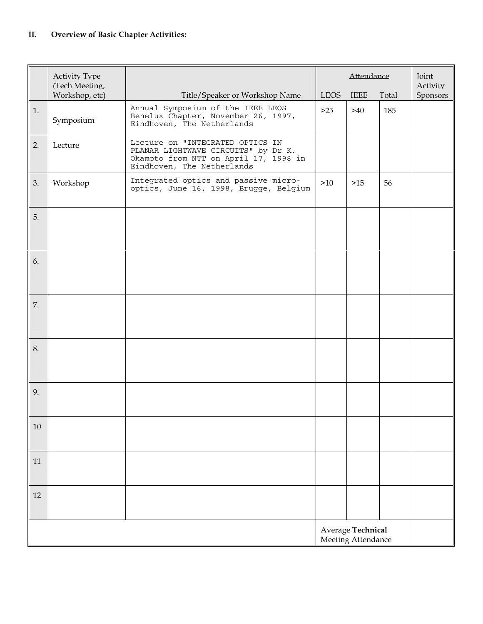|    | <b>Activity Type</b><br>(Tech Meeting,  |                                                                                                                                                | Attendance  |             |       | <b>Joint</b><br>Activity |
|----|-----------------------------------------|------------------------------------------------------------------------------------------------------------------------------------------------|-------------|-------------|-------|--------------------------|
|    | Workshop, etc)                          | Title/Speaker or Workshop Name                                                                                                                 | <b>LEOS</b> | <b>IEEE</b> | Total | Sponsors                 |
| 1. | Symposium                               | Annual Symposium of the IEEE LEOS<br>Benelux Chapter, November 26, 1997,<br>Eindhoven, The Netherlands                                         | $>25$       | >40         | 185   |                          |
| 2. | Lecture                                 | Lecture on "INTEGRATED OPTICS IN<br>PLANAR LIGHTWAVE CIRCUITS" by Dr K.<br>Okamoto from NTT on April 17, 1998 in<br>Eindhoven, The Netherlands |             |             |       |                          |
| 3. | Workshop                                | Integrated optics and passive micro-<br>optics, June 16, 1998, Brugge, Belgium                                                                 | >10         | $>15$       | 56    |                          |
| 5. |                                         |                                                                                                                                                |             |             |       |                          |
| 6. |                                         |                                                                                                                                                |             |             |       |                          |
| 7. |                                         |                                                                                                                                                |             |             |       |                          |
| 8. |                                         |                                                                                                                                                |             |             |       |                          |
| 9. |                                         |                                                                                                                                                |             |             |       |                          |
| 10 |                                         |                                                                                                                                                |             |             |       |                          |
| 11 |                                         |                                                                                                                                                |             |             |       |                          |
| 12 |                                         |                                                                                                                                                |             |             |       |                          |
|    | Average Technical<br>Meeting Attendance |                                                                                                                                                |             |             |       |                          |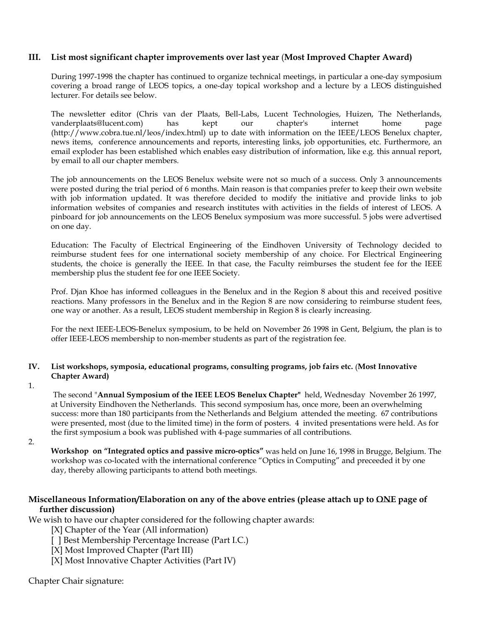## **III. List most significant chapter improvements over last year** (**Most Improved Chapter Award)**

 During 1997-1998 the chapter has continued to organize technical meetings, in particular a one-day symposium covering a broad range of LEOS topics, a one-day topical workshop and a lecture by a LEOS distinguished lecturer. For details see below.

 The newsletter editor (Chris van der Plaats, Bell-Labs, Lucent Technologies, Huizen, The Netherlands, vanderplaats@lucent.com) has kept our chapter's internet home page (http://www.cobra.tue.nl/leos/index.html) up to date with information on the IEEE/LEOS Benelux chapter, news items, conference announcements and reports, interesting links, job opportunities, etc. Furthermore, an email exploder has been established which enables easy distribution of information, like e.g. this annual report, by email to all our chapter members.

The job announcements on the LEOS Benelux website were not so much of a success. Only 3 announcements were posted during the trial period of 6 months. Main reason is that companies prefer to keep their own website with job information updated. It was therefore decided to modify the initiative and provide links to job information websites of companies and research institutes with activities in the fields of interest of LEOS. A pinboard for job announcements on the LEOS Benelux symposium was more successful. 5 jobs were advertised on one day.

 Education: The Faculty of Electrical Engineering of the Eindhoven University of Technology decided to reimburse student fees for one international society membership of any choice. For Electrical Engineering students, the choice is generally the IEEE. In that case, the Faculty reimburses the student fee for the IEEE membership plus the student fee for one IEEE Society.

Prof. Djan Khoe has informed colleagues in the Benelux and in the Region 8 about this and received positive reactions. Many professors in the Benelux and in the Region 8 are now considering to reimburse student fees, one way or another. As a result, LEOS student membership in Region 8 is clearly increasing.

 For the next IEEE-LEOS-Benelux symposium, to be held on November 26 1998 in Gent, Belgium, the plan is to offer IEEE-LEOS membership to non-member students as part of the registration fee.

### **IV. List workshops, symposia, educational programs, consulting programs, job fairs etc.** (**Most Innovative Chapter Award)**

1.

 The second "**Annual Symposium of the IEEE LEOS Benelux Chapter"** held, Wednesday November 26 1997, at University Eindhoven the Netherlands. This second symposium has, once more, been an overwhelming success: more than 180 participants from the Netherlands and Belgium attended the meeting. 67 contributions were presented, most (due to the limited time) in the form of posters. 4 invited presentations were held. As for the first symposium a book was published with 4-page summaries of all contributions.

2.

 **Workshop on "Integrated optics and passive micro-optics"** was held on June 16, 1998 in Brugge, Belgium. The workshop was co-located with the international conference "Optics in Computing" and preceeded it by one day, thereby allowing participants to attend both meetings.

## **Miscellaneous Information/Elaboration on any of the above entries (please attach up to ONE page of further discussion)**

We wish to have our chapter considered for the following chapter awards:

[X] Chapter of the Year (All information)

[ ] Best Membership Percentage Increase (Part I.C.)

[X] Most Improved Chapter (Part III)

[X] Most Innovative Chapter Activities (Part IV)

Chapter Chair signature: